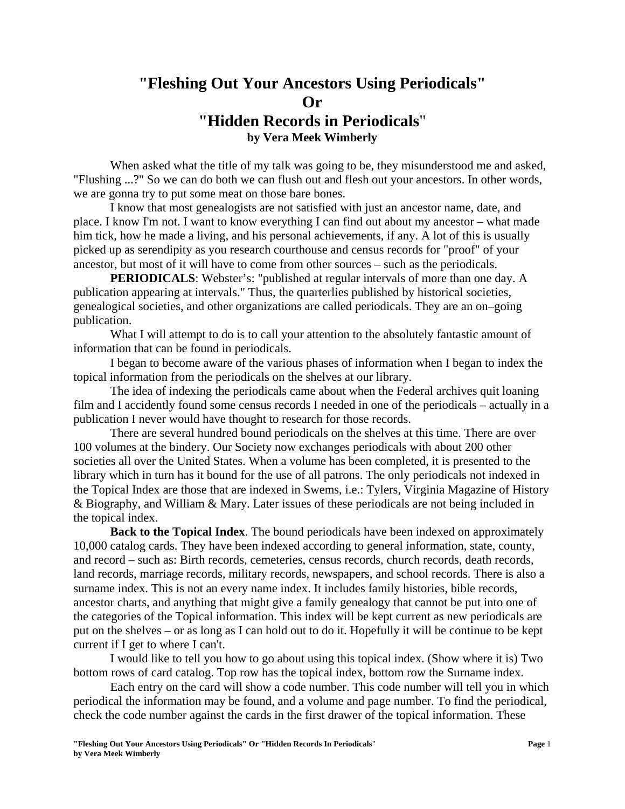## **"Fleshing Out Your Ancestors Using Periodicals" Or "Hidden Records in Periodicals**" **by Vera Meek Wimberly**

 When asked what the title of my talk was going to be, they misunderstood me and asked, "Flushing ...?" So we can do both we can flush out and flesh out your ancestors. In other words, we are gonna try to put some meat on those bare bones.

 I know that most genealogists are not satisfied with just an ancestor name, date, and place. I know I'm not. I want to know everything I can find out about my ancestor – what made him tick, how he made a living, and his personal achievements, if any. A lot of this is usually picked up as serendipity as you research courthouse and census records for "proof" of your ancestor, but most of it will have to come from other sources – such as the periodicals.

**PERIODICALS**: Webster's: "published at regular intervals of more than one day. A publication appearing at intervals." Thus, the quarterlies published by historical societies, genealogical societies, and other organizations are called periodicals. They are an on–going publication.

 What I will attempt to do is to call your attention to the absolutely fantastic amount of information that can be found in periodicals.

 I began to become aware of the various phases of information when I began to index the topical information from the periodicals on the shelves at our library.

 The idea of indexing the periodicals came about when the Federal archives quit loaning film and I accidently found some census records I needed in one of the periodicals – actually in a publication I never would have thought to research for those records.

 There are several hundred bound periodicals on the shelves at this time. There are over 100 volumes at the bindery. Our Society now exchanges periodicals with about 200 other societies all over the United States. When a volume has been completed, it is presented to the library which in turn has it bound for the use of all patrons. The only periodicals not indexed in the Topical Index are those that are indexed in Swems, i.e.: Tylers, Virginia Magazine of History & Biography, and William & Mary. Later issues of these periodicals are not being included in the topical index.

**Back to the Topical Index**. The bound periodicals have been indexed on approximately 10,000 catalog cards. They have been indexed according to general information, state, county, and record – such as: Birth records, cemeteries, census records, church records, death records, land records, marriage records, military records, newspapers, and school records. There is also a surname index. This is not an every name index. It includes family histories, bible records, ancestor charts, and anything that might give a family genealogy that cannot be put into one of the categories of the Topical information. This index will be kept current as new periodicals are put on the shelves – or as long as I can hold out to do it. Hopefully it will be continue to be kept current if I get to where I can't.

 I would like to tell you how to go about using this topical index. (Show where it is) Two bottom rows of card catalog. Top row has the topical index, bottom row the Surname index.

 Each entry on the card will show a code number. This code number will tell you in which periodical the information may be found, and a volume and page number. To find the periodical, check the code number against the cards in the first drawer of the topical information. These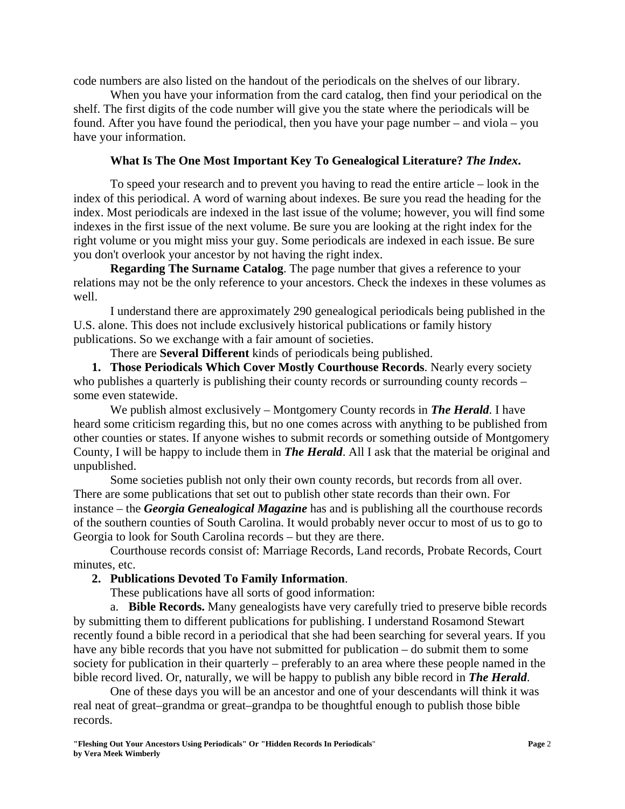code numbers are also listed on the handout of the periodicals on the shelves of our library.

 When you have your information from the card catalog, then find your periodical on the shelf. The first digits of the code number will give you the state where the periodicals will be found. After you have found the periodical, then you have your page number – and viola – you have your information.

## **What Is The One Most Important Key To Genealogical Literature?** *The Index***.**

 To speed your research and to prevent you having to read the entire article – look in the index of this periodical. A word of warning about indexes. Be sure you read the heading for the index. Most periodicals are indexed in the last issue of the volume; however, you will find some indexes in the first issue of the next volume. Be sure you are looking at the right index for the right volume or you might miss your guy. Some periodicals are indexed in each issue. Be sure you don't overlook your ancestor by not having the right index.

**Regarding The Surname Catalog.** The page number that gives a reference to your relations may not be the only reference to your ancestors. Check the indexes in these volumes as well.

 I understand there are approximately 290 genealogical periodicals being published in the U.S. alone. This does not include exclusively historical publications or family history publications. So we exchange with a fair amount of societies.

There are **Several Different** kinds of periodicals being published.

 **1. Those Periodicals Which Cover Mostly Courthouse Records**. Nearly every society who publishes a quarterly is publishing their county records or surrounding county records – some even statewide.

We publish almost exclusively – Montgomery County records in *The Herald*. I have heard some criticism regarding this, but no one comes across with anything to be published from other counties or states. If anyone wishes to submit records or something outside of Montgomery County, I will be happy to include them in *The Herald*. All I ask that the material be original and unpublished.

 Some societies publish not only their own county records, but records from all over. There are some publications that set out to publish other state records than their own. For instance – the *Georgia Genealogical Magazine* has and is publishing all the courthouse records of the southern counties of South Carolina. It would probably never occur to most of us to go to Georgia to look for South Carolina records – but they are there.

 Courthouse records consist of: Marriage Records, Land records, Probate Records, Court minutes, etc.

## **2. Publications Devoted To Family Information**.

These publications have all sorts of good information:

 a. **Bible Records.** Many genealogists have very carefully tried to preserve bible records by submitting them to different publications for publishing. I understand Rosamond Stewart recently found a bible record in a periodical that she had been searching for several years. If you have any bible records that you have not submitted for publication – do submit them to some society for publication in their quarterly – preferably to an area where these people named in the bible record lived. Or, naturally, we will be happy to publish any bible record in *The Herald*.

 One of these days you will be an ancestor and one of your descendants will think it was real neat of great–grandma or great–grandpa to be thoughtful enough to publish those bible records.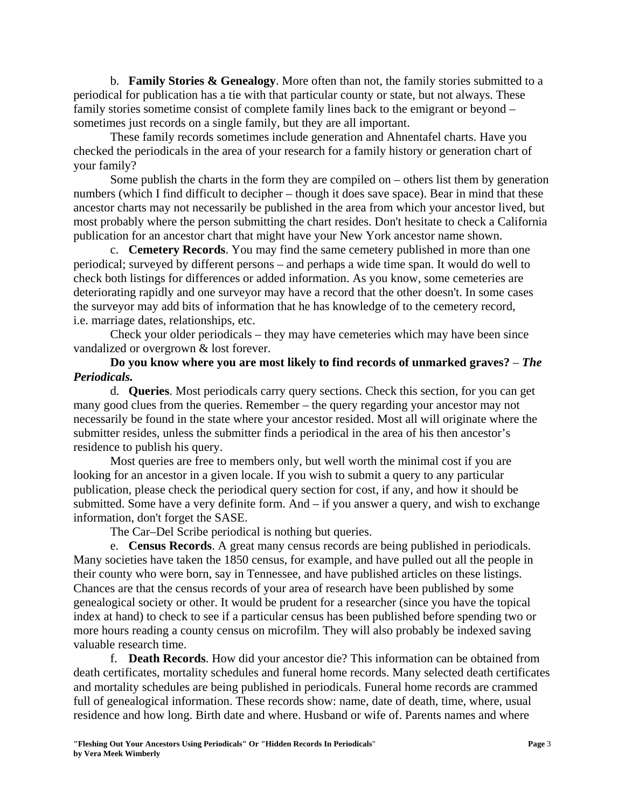b. **Family Stories & Genealogy**. More often than not, the family stories submitted to a periodical for publication has a tie with that particular county or state, but not always. These family stories sometime consist of complete family lines back to the emigrant or beyond – sometimes just records on a single family, but they are all important.

 These family records sometimes include generation and Ahnentafel charts. Have you checked the periodicals in the area of your research for a family history or generation chart of your family?

 Some publish the charts in the form they are compiled on – others list them by generation numbers (which I find difficult to decipher – though it does save space). Bear in mind that these ancestor charts may not necessarily be published in the area from which your ancestor lived, but most probably where the person submitting the chart resides. Don't hesitate to check a California publication for an ancestor chart that might have your New York ancestor name shown.

 c. **Cemetery Records**. You may find the same cemetery published in more than one periodical; surveyed by different persons – and perhaps a wide time span. It would do well to check both listings for differences or added information. As you know, some cemeteries are deteriorating rapidly and one surveyor may have a record that the other doesn't. In some cases the surveyor may add bits of information that he has knowledge of to the cemetery record, i.e. marriage dates, relationships, etc.

 Check your older periodicals – they may have cemeteries which may have been since vandalized or overgrown & lost forever.

## **Do you know where you are most likely to find records of unmarked graves?** – *The Periodicals.*

 d. **Queries**. Most periodicals carry query sections. Check this section, for you can get many good clues from the queries. Remember – the query regarding your ancestor may not necessarily be found in the state where your ancestor resided. Most all will originate where the submitter resides, unless the submitter finds a periodical in the area of his then ancestor's residence to publish his query.

 Most queries are free to members only, but well worth the minimal cost if you are looking for an ancestor in a given locale. If you wish to submit a query to any particular publication, please check the periodical query section for cost, if any, and how it should be submitted. Some have a very definite form. And – if you answer a query, and wish to exchange information, don't forget the SASE.

The Car–Del Scribe periodical is nothing but queries.

 e. **Census Records**. A great many census records are being published in periodicals. Many societies have taken the 1850 census, for example, and have pulled out all the people in their county who were born, say in Tennessee, and have published articles on these listings. Chances are that the census records of your area of research have been published by some genealogical society or other. It would be prudent for a researcher (since you have the topical index at hand) to check to see if a particular census has been published before spending two or more hours reading a county census on microfilm. They will also probably be indexed saving valuable research time.

 f. **Death Records**. How did your ancestor die? This information can be obtained from death certificates, mortality schedules and funeral home records. Many selected death certificates and mortality schedules are being published in periodicals. Funeral home records are crammed full of genealogical information. These records show: name, date of death, time, where, usual residence and how long. Birth date and where. Husband or wife of. Parents names and where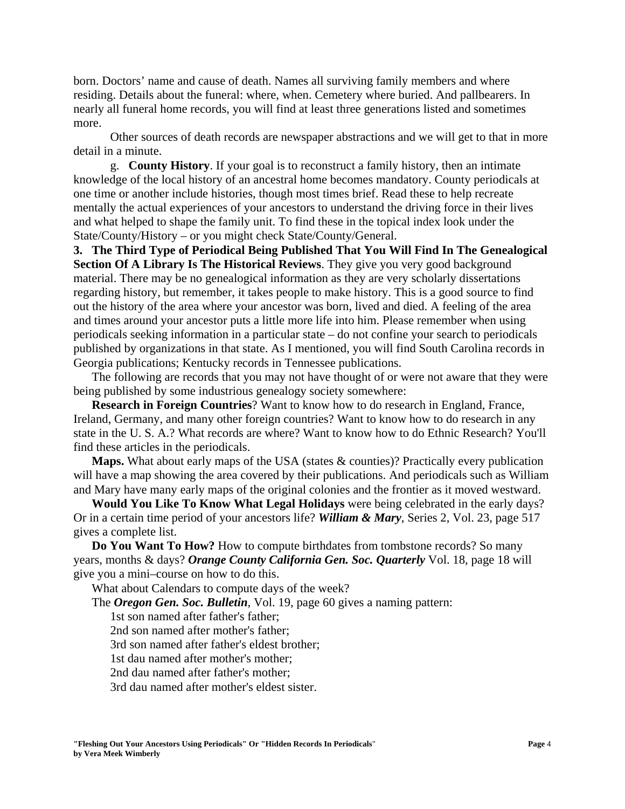born. Doctors' name and cause of death. Names all surviving family members and where residing. Details about the funeral: where, when. Cemetery where buried. And pallbearers. In nearly all funeral home records, you will find at least three generations listed and sometimes more.

 Other sources of death records are newspaper abstractions and we will get to that in more detail in a minute.

 g. **County History**. If your goal is to reconstruct a family history, then an intimate knowledge of the local history of an ancestral home becomes mandatory. County periodicals at one time or another include histories, though most times brief. Read these to help recreate mentally the actual experiences of your ancestors to understand the driving force in their lives and what helped to shape the family unit. To find these in the topical index look under the State/County/History – or you might check State/County/General.

**3. The Third Type of Periodical Being Published That You Will Find In The Genealogical Section Of A Library Is The Historical Reviews**. They give you very good background material. There may be no genealogical information as they are very scholarly dissertations regarding history, but remember, it takes people to make history. This is a good source to find out the history of the area where your ancestor was born, lived and died. A feeling of the area and times around your ancestor puts a little more life into him. Please remember when using periodicals seeking information in a particular state – do not confine your search to periodicals published by organizations in that state. As I mentioned, you will find South Carolina records in Georgia publications; Kentucky records in Tennessee publications.

 The following are records that you may not have thought of or were not aware that they were being published by some industrious genealogy society somewhere:

 **Research in Foreign Countries**? Want to know how to do research in England, France, Ireland, Germany, and many other foreign countries? Want to know how to do research in any state in the U. S. A.? What records are where? Want to know how to do Ethnic Research? You'll find these articles in the periodicals.

**Maps.** What about early maps of the USA (states & counties)? Practically every publication will have a map showing the area covered by their publications. And periodicals such as William and Mary have many early maps of the original colonies and the frontier as it moved westward.

**Would You Like To Know What Legal Holidays** were being celebrated in the early days? Or in a certain time period of your ancestors life? *William & Mary*, Series 2, Vol. 23, page 517 gives a complete list.

**Do You Want To How?** How to compute birthdates from tombstone records? So many years, months & days? *Orange County California Gen. Soc. Quarterly* Vol. 18, page 18 will give you a mini–course on how to do this.

What about Calendars to compute days of the week?

The *Oregon Gen. Soc. Bulletin*, Vol. 19, page 60 gives a naming pattern:

1st son named after father's father;

2nd son named after mother's father;

3rd son named after father's eldest brother;

1st dau named after mother's mother;

2nd dau named after father's mother;

3rd dau named after mother's eldest sister.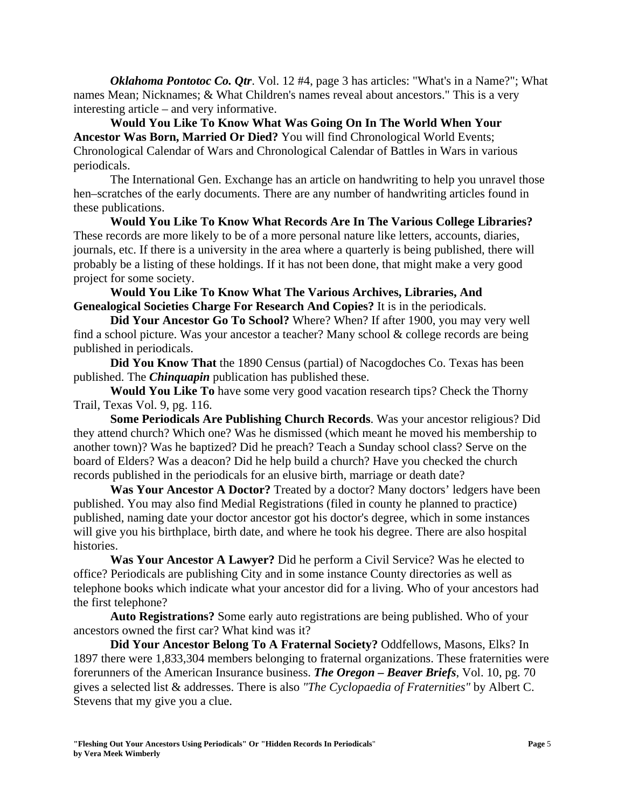*Oklahoma Pontotoc Co. Qtr*. Vol. 12 #4, page 3 has articles: "What's in a Name?"; What names Mean; Nicknames; & What Children's names reveal about ancestors." This is a very interesting article – and very informative.

**Would You Like To Know What Was Going On In The World When Your Ancestor Was Born, Married Or Died?** You will find Chronological World Events; Chronological Calendar of Wars and Chronological Calendar of Battles in Wars in various periodicals.

The International Gen. Exchange has an article on handwriting to help you unravel those hen–scratches of the early documents. There are any number of handwriting articles found in these publications.

**Would You Like To Know What Records Are In The Various College Libraries?** These records are more likely to be of a more personal nature like letters, accounts, diaries, journals, etc. If there is a university in the area where a quarterly is being published, there will probably be a listing of these holdings. If it has not been done, that might make a very good project for some society.

**Would You Like To Know What The Various Archives, Libraries, And Genealogical Societies Charge For Research And Copies?** It is in the periodicals.

**Did Your Ancestor Go To School?** Where? When? If after 1900, you may very well find a school picture. Was your ancestor a teacher? Many school & college records are being published in periodicals.

**Did You Know That** the 1890 Census (partial) of Nacogdoches Co. Texas has been published. The *Chinquapin* publication has published these.

**Would You Like To** have some very good vacation research tips? Check the Thorny Trail, Texas Vol. 9, pg. 116.

**Some Periodicals Are Publishing Church Records**. Was your ancestor religious? Did they attend church? Which one? Was he dismissed (which meant he moved his membership to another town)? Was he baptized? Did he preach? Teach a Sunday school class? Serve on the board of Elders? Was a deacon? Did he help build a church? Have you checked the church records published in the periodicals for an elusive birth, marriage or death date?

**Was Your Ancestor A Doctor?** Treated by a doctor? Many doctors' ledgers have been published. You may also find Medial Registrations (filed in county he planned to practice) published, naming date your doctor ancestor got his doctor's degree, which in some instances will give you his birthplace, birth date, and where he took his degree. There are also hospital histories.

**Was Your Ancestor A Lawyer?** Did he perform a Civil Service? Was he elected to office? Periodicals are publishing City and in some instance County directories as well as telephone books which indicate what your ancestor did for a living. Who of your ancestors had the first telephone?

**Auto Registrations?** Some early auto registrations are being published. Who of your ancestors owned the first car? What kind was it?

**Did Your Ancestor Belong To A Fraternal Society?** Oddfellows, Masons, Elks? In 1897 there were 1,833,304 members belonging to fraternal organizations. These fraternities were forerunners of the American Insurance business. *The Oregon – Beaver Briefs*, Vol. 10, pg. 70 gives a selected list & addresses. There is also *"The Cyclopaedia of Fraternities"* by Albert C. Stevens that my give you a clue.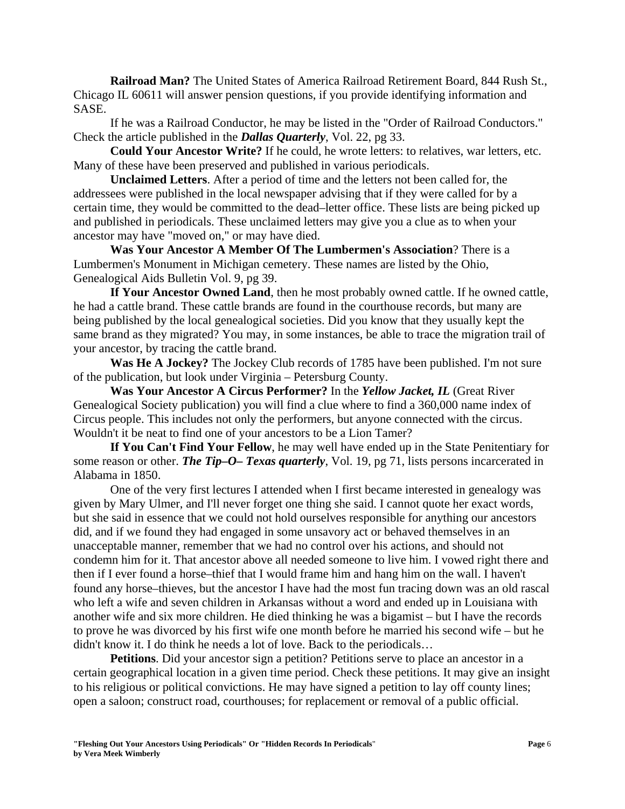**Railroad Man?** The United States of America Railroad Retirement Board, 844 Rush St., Chicago IL 60611 will answer pension questions, if you provide identifying information and SASE.

If he was a Railroad Conductor, he may be listed in the "Order of Railroad Conductors." Check the article published in the *Dallas Quarterly*, Vol. 22, pg 33.

**Could Your Ancestor Write?** If he could, he wrote letters: to relatives, war letters, etc. Many of these have been preserved and published in various periodicals.

**Unclaimed Letters**. After a period of time and the letters not been called for, the addressees were published in the local newspaper advising that if they were called for by a certain time, they would be committed to the dead–letter office. These lists are being picked up and published in periodicals. These unclaimed letters may give you a clue as to when your ancestor may have "moved on," or may have died.

**Was Your Ancestor A Member Of The Lumbermen's Association**? There is a Lumbermen's Monument in Michigan cemetery. These names are listed by the Ohio, Genealogical Aids Bulletin Vol. 9, pg 39.

**If Your Ancestor Owned Land**, then he most probably owned cattle. If he owned cattle, he had a cattle brand. These cattle brands are found in the courthouse records, but many are being published by the local genealogical societies. Did you know that they usually kept the same brand as they migrated? You may, in some instances, be able to trace the migration trail of your ancestor, by tracing the cattle brand.

**Was He A Jockey?** The Jockey Club records of 1785 have been published. I'm not sure of the publication, but look under Virginia – Petersburg County.

**Was Your Ancestor A Circus Performer?** In the *Yellow Jacket, IL* (Great River Genealogical Society publication) you will find a clue where to find a 360,000 name index of Circus people. This includes not only the performers, but anyone connected with the circus. Wouldn't it be neat to find one of your ancestors to be a Lion Tamer?

**If You Can't Find Your Fellow**, he may well have ended up in the State Penitentiary for some reason or other. *The Tip–O– Texas quarterly*, Vol. 19, pg 71, lists persons incarcerated in Alabama in 1850.

One of the very first lectures I attended when I first became interested in genealogy was given by Mary Ulmer, and I'll never forget one thing she said. I cannot quote her exact words, but she said in essence that we could not hold ourselves responsible for anything our ancestors did, and if we found they had engaged in some unsavory act or behaved themselves in an unacceptable manner, remember that we had no control over his actions, and should not condemn him for it. That ancestor above all needed someone to live him. I vowed right there and then if I ever found a horse–thief that I would frame him and hang him on the wall. I haven't found any horse–thieves, but the ancestor I have had the most fun tracing down was an old rascal who left a wife and seven children in Arkansas without a word and ended up in Louisiana with another wife and six more children. He died thinking he was a bigamist – but I have the records to prove he was divorced by his first wife one month before he married his second wife – but he didn't know it. I do think he needs a lot of love. Back to the periodicals…

**Petitions**. Did your ancestor sign a petition? Petitions serve to place an ancestor in a certain geographical location in a given time period. Check these petitions. It may give an insight to his religious or political convictions. He may have signed a petition to lay off county lines; open a saloon; construct road, courthouses; for replacement or removal of a public official.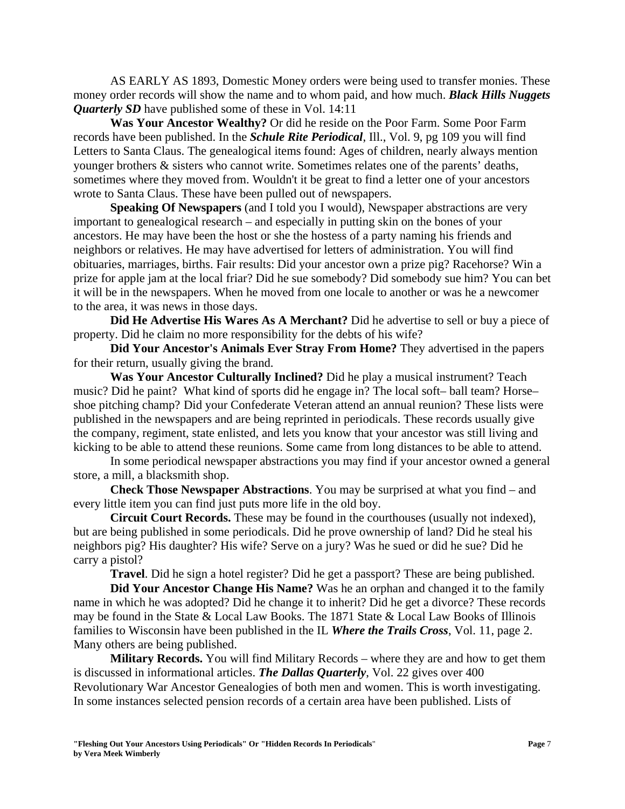AS EARLY AS 1893, Domestic Money orders were being used to transfer monies. These money order records will show the name and to whom paid, and how much. *Black Hills Nuggets Quarterly SD* have published some of these in Vol. 14:11

**Was Your Ancestor Wealthy?** Or did he reside on the Poor Farm. Some Poor Farm records have been published. In the *Schule Rite Periodical*, Ill., Vol. 9, pg 109 you will find Letters to Santa Claus. The genealogical items found: Ages of children, nearly always mention younger brothers & sisters who cannot write. Sometimes relates one of the parents' deaths, sometimes where they moved from. Wouldn't it be great to find a letter one of your ancestors wrote to Santa Claus. These have been pulled out of newspapers.

**Speaking Of Newspapers** (and I told you I would), Newspaper abstractions are very important to genealogical research – and especially in putting skin on the bones of your ancestors. He may have been the host or she the hostess of a party naming his friends and neighbors or relatives. He may have advertised for letters of administration. You will find obituaries, marriages, births. Fair results: Did your ancestor own a prize pig? Racehorse? Win a prize for apple jam at the local friar? Did he sue somebody? Did somebody sue him? You can bet it will be in the newspapers. When he moved from one locale to another or was he a newcomer to the area, it was news in those days.

**Did He Advertise His Wares As A Merchant?** Did he advertise to sell or buy a piece of property. Did he claim no more responsibility for the debts of his wife?

**Did Your Ancestor's Animals Ever Stray From Home?** They advertised in the papers for their return, usually giving the brand.

**Was Your Ancestor Culturally Inclined?** Did he play a musical instrument? Teach music? Did he paint? What kind of sports did he engage in? The local soft– ball team? Horse– shoe pitching champ? Did your Confederate Veteran attend an annual reunion? These lists were published in the newspapers and are being reprinted in periodicals. These records usually give the company, regiment, state enlisted, and lets you know that your ancestor was still living and kicking to be able to attend these reunions. Some came from long distances to be able to attend.

 In some periodical newspaper abstractions you may find if your ancestor owned a general store, a mill, a blacksmith shop.

**Check Those Newspaper Abstractions**. You may be surprised at what you find – and every little item you can find just puts more life in the old boy.

**Circuit Court Records.** These may be found in the courthouses (usually not indexed), but are being published in some periodicals. Did he prove ownership of land? Did he steal his neighbors pig? His daughter? His wife? Serve on a jury? Was he sued or did he sue? Did he carry a pistol?

**Travel**. Did he sign a hotel register? Did he get a passport? These are being published.

**Did Your Ancestor Change His Name?** Was he an orphan and changed it to the family name in which he was adopted? Did he change it to inherit? Did he get a divorce? These records may be found in the State & Local Law Books. The 1871 State & Local Law Books of Illinois families to Wisconsin have been published in the IL *Where the Trails Cross*, Vol. 11, page 2. Many others are being published.

**Military Records.** You will find Military Records – where they are and how to get them is discussed in informational articles. *The Dallas Quarterly*, Vol. 22 gives over 400 Revolutionary War Ancestor Genealogies of both men and women. This is worth investigating. In some instances selected pension records of a certain area have been published. Lists of